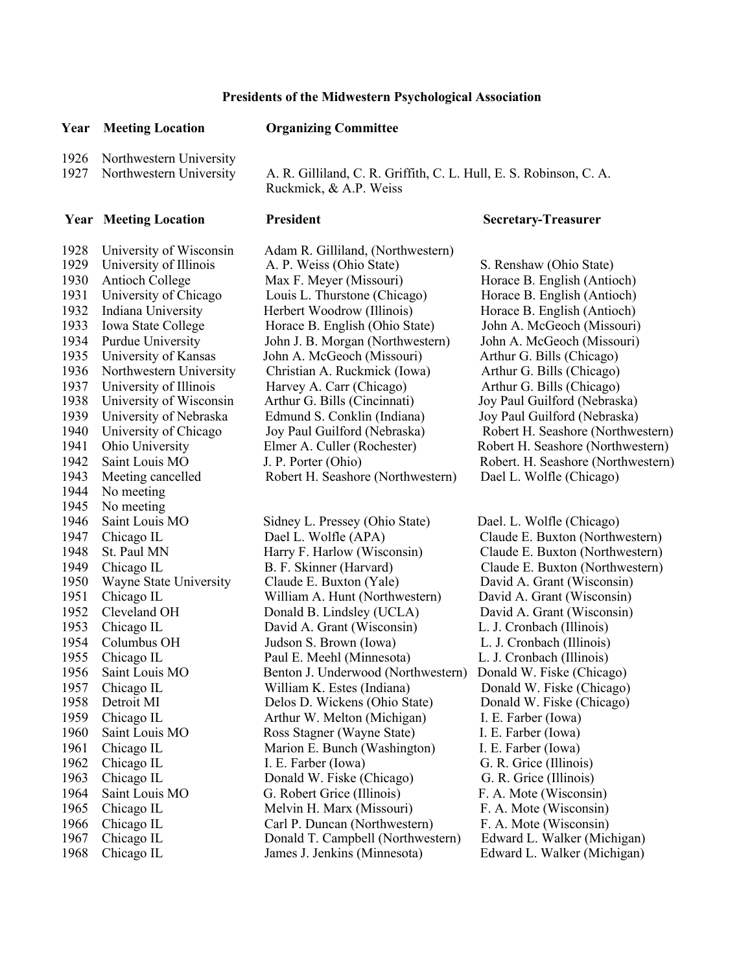## **Presidents of the Midwestern Psychological Association**

## **Year Meeting Location Organizing Committee**

1926 Northwestern University

1927 Northwestern University A. R. Gilliland, C. R. Griffith, C. L. Hull, E. S. Robinson, C. A. Ruckmick, & A.P. Weiss

## **Year Meeting Location President President Secretary-Treasurer**

1943 Meeting cancelled Robert H. Seashore (Northwestern) Dael L. Wolfle (Chicago) 1944 No meeting 1945 No meeting 1946 Saint Louis MO Sidney L. Pressey (Ohio State) Dael. L. Wolfle (Chicago)<br>1947 Chicago IL Dael L. Wolfle (APA) Claude E. Buxton (Northw

1928 University of Wisconsin Adam R. Gilliland, (Northwestern) 1929 University of Illinois A. P. Weiss (Ohio State) S. Renshaw (Ohio State) 1930 Antioch College Max F. Meyer (Missouri) Horace B. English (Antioch) 1931 University of Chicago Louis L. Thurstone (Chicago) Horace B. English (Antioch) 1932 Indiana University Herbert Woodrow (Illinois) Horace B. English (Antioch) 1933 Iowa State College Horace B. English (Ohio State) John A. McGeoch (Missouri) 1934 Purdue University John J. B. Morgan (Northwestern) John A. McGeoch (Missouri) 1935 University of Kansas John A. McGeoch (Missouri) Arthur G. Bills (Chicago) 1936 Northwestern University Christian A. Ruckmick (Iowa) Arthur G. Bills (Chicago) 1937 University of Illinois Harvey A. Carr (Chicago) Arthur G. Bills (Chicago) 1938 University of Wisconsin Arthur G. Bills (Cincinnati) Joy Paul Guilford (Nebraska) 1939 University of Nebraska Edmund S. Conklin (Indiana) Joy Paul Guilford (Nebraska) 1941 Ohio University Elmer A. Culler (Rochester) Robert H. Seashore (Northwestern)

1947 Chicago IL Dael L. Wolfle (APA) Claude E. Buxton (Northwestern) 1948 St. Paul MN Harry F. Harlow (Wisconsin) Claude E. Buxton (Northwestern) 1949 Chicago IL B. F. Skinner (Harvard) Claude E. Buxton (Northwestern) 1950 Wayne State University Claude E. Buxton (Yale) David A. Grant (Wisconsin) 1951 Chicago IL William A. Hunt (Northwestern) David A. Grant (Wisconsin) 1952 Cleveland OH Donald B. Lindsley (UCLA) David A. Grant (Wisconsin) 1953 Chicago IL David A. Grant (Wisconsin) L. J. Cronbach (Illinois) 1954 Columbus OH Judson S. Brown (Iowa) L. J. Cronbach (Illinois) 1955 Chicago IL Paul E. Meehl (Minnesota) L. J. Cronbach (Illinois) 1956 Saint Louis MO Benton J. Underwood (Northwestern) Donald W. Fiske (Chicago) 1957 Chicago IL William K. Estes (Indiana) Donald W. Fiske (Chicago) 1958 Detroit MI Delos D. Wickens (Ohio State) Donald W. Fiske (Chicago) 1959 Chicago IL Arthur W. Melton (Michigan) I. E. Farber (Iowa) 1960 Saint Louis MO Ross Stagner (Wayne State) I. E. Farber (Iowa) 1961 Chicago IL Marion E. Bunch (Washington) I. E. Farber (Iowa) 1962 Chicago IL I. E. Farber (Iowa) G. R. Grice (Illinois) 1963 Chicago IL Donald W. Fiske (Chicago) G. R. Grice (Illinois) 1964 Saint Louis MO G. Robert Grice (Illinois) F. A. Mote (Wisconsin) 1965 Chicago IL Melvin H. Marx (Missouri) F. A. Mote (Wisconsin) 1966 Chicago IL Carl P. Duncan (Northwestern) F. A. Mote (Wisconsin) 1967 Chicago IL Donald T. Campbell (Northwestern) Edward L. Walker (Michigan) 1968 Chicago IL James J. Jenkins (Minnesota) Edward L. Walker (Michigan)

1940 University of Chicago Joy Paul Guilford (Nebraska) Robert H. Seashore (Northwestern) 1942 Saint Louis MO J. P. Porter (Ohio) Robert. H. Seashore (Northwestern)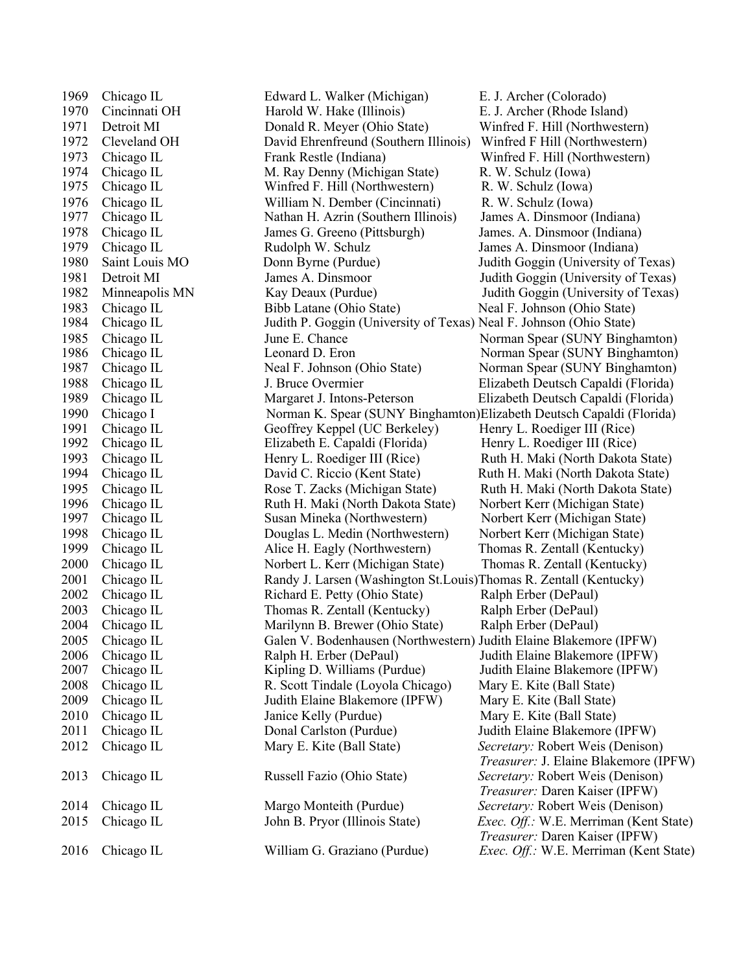1969 Chicago IL Edward L. Walker (Michigan) E. J. Archer (Colorado) 1970 Cincinnati OH Harold W. Hake (Illinois) E. J. Archer (Rhode Island) 1971 Detroit MI Donald R. Meyer (Ohio State) Winfred F. Hill (Northwestern) 1972 Cleveland OH David Ehrenfreund (Southern Illinois) Winfred F Hill (Northwestern) 1973 Chicago IL Frank Restle (Indiana) Winfred F. Hill (Northwestern) 1974 Chicago IL M. Ray Denny (Michigan State) R. W. Schulz (Iowa) 1975 Chicago IL Winfred F. Hill (Northwestern) R. W. Schulz (Iowa) 1976 Chicago IL William N. Dember (Cincinnati) R. W. Schulz (Iowa) 1977 Chicago IL Nathan H. Azrin (Southern Illinois) James A. Dinsmoor (Indiana) 1978 Chicago IL James G. Greeno (Pittsburgh) James. A. Dinsmoor (Indiana) 1979 Chicago IL Rudolph W. Schulz James A. Dinsmoor (Indiana) 1980 Saint Louis MO Donn Byrne (Purdue) Judith Goggin (University of Texas) 1981 Detroit MI James A. Dinsmoor Judith Goggin (University of Texas) 1982 Minneapolis MN Kay Deaux (Purdue) Judith Goggin (University of Texas) 1983 Chicago IL Bibb Latane (Ohio State) Neal F. Johnson (Ohio State) 1984 Chicago IL Judith P. Goggin (University of Texas) Neal F. Johnson (Ohio State) 1985 Chicago IL June E. Chance Norman Spear (SUNY Binghamton) 1986 Chicago IL Leonard D. Eron Norman Spear (SUNY Binghamton) 1987 Chicago IL Neal F. Johnson (Ohio State) Norman Spear (SUNY Binghamton) 1988 Chicago IL J. Bruce Overmier Elizabeth Deutsch Capaldi (Florida) 1989 Chicago IL Margaret J. Intons-Peterson Elizabeth Deutsch Capaldi (Florida) 1990 Chicago I Norman K. Spear (SUNY Binghamton)Elizabeth Deutsch Capaldi (Florida) 1991 Chicago IL Geoffrey Keppel (UC Berkeley) Henry L. Roediger III (Rice) 1992 Chicago IL Elizabeth E. Capaldi (Florida) Henry L. Roediger III (Rice) 1993 Chicago IL Henry L. Roediger III (Rice) Ruth H. Maki (North Dakota State) 1994 Chicago IL David C. Riccio (Kent State) Ruth H. Maki (North Dakota State) 1995 Chicago IL Rose T. Zacks (Michigan State) Ruth H. Maki (North Dakota State) 1996 Chicago IL Ruth H. Maki (North Dakota State) Norbert Kerr (Michigan State) 1997 Chicago IL Susan Mineka (Northwestern) Norbert Kerr (Michigan State) 1998 Chicago IL Douglas L. Medin (Northwestern) Norbert Kerr (Michigan State) 1999 Chicago IL Alice H. Eagly (Northwestern) Thomas R. Zentall (Kentucky) 2000 Chicago IL Norbert L. Kerr (Michigan State) Thomas R. Zentall (Kentucky) 2001 Chicago IL Randy J. Larsen (Washington St.Louis)Thomas R. Zentall (Kentucky) 2002 Chicago IL Richard E. Petty (Ohio State) Ralph Erber (DePaul) 2003 Chicago IL Thomas R. Zentall (Kentucky) Ralph Erber (DePaul) 2004 Chicago IL Marilynn B. Brewer (Ohio State) Ralph Erber (DePaul) 2005 Chicago IL Galen V. Bodenhausen (Northwestern) Judith Elaine Blakemore (IPFW) 2006 Chicago IL Ralph H. Erber (DePaul) Judith Elaine Blakemore (IPFW) 2007 Chicago IL Kipling D. Williams (Purdue) Judith Elaine Blakemore (IPFW) 2008 Chicago IL R. Scott Tindale (Loyola Chicago) Mary E. Kite (Ball State) 2009 Chicago IL Judith Elaine Blakemore (IPFW) Mary E. Kite (Ball State) 2010 Chicago IL Janice Kelly (Purdue) Mary E. Kite (Ball State) 2011 Chicago IL Donal Carlston (Purdue) Judith Elaine Blakemore (IPFW) 2012 Chicago IL Mary E. Kite (Ball State) *Secretary:* Robert Weis (Denison) 2013 Chicago IL Russell Fazio (Ohio State) *Secretary:* Robert Weis (Denison) 2014 Chicago IL Margo Monteith (Purdue) *Secretary:* Robert Weis (Denison) 2015 Chicago IL John B. Pryor (Illinois State) *Exec. Off.:* W.E. Merriman (Kent State)

2016 Chicago IL William G. Graziano (Purdue) *Exec. Off.:* W.E. Merriman (Kent State)

*Treasurer:* J. Elaine Blakemore (IPFW) *Treasurer:* Daren Kaiser (IPFW) *Treasurer:* Daren Kaiser (IPFW)